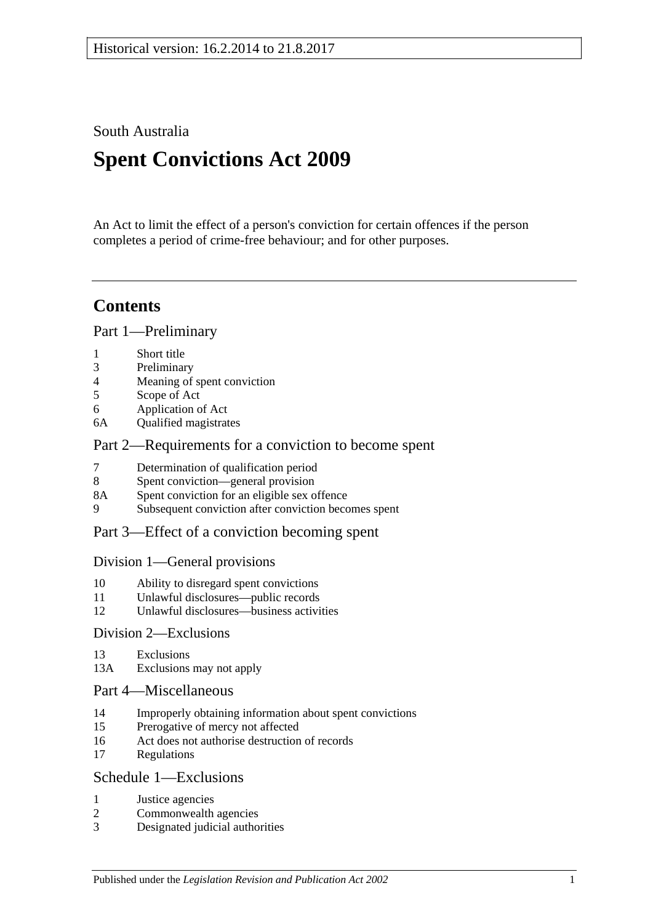South Australia

# **Spent Convictions Act 2009**

An Act to limit the effect of a person's conviction for certain offences if the person completes a period of crime-free behaviour; and for other purposes.

## **Contents**

[Part 1—Preliminary](#page-1-0)

- 1 [Short title](#page-1-1)
- 3 [Preliminary](#page-1-2)
- 4 [Meaning of spent conviction](#page-6-0)
- 5 [Scope of Act](#page-7-0)
- 6 [Application of Act](#page-7-1)
- 6A [Qualified magistrates](#page-8-0)

#### [Part 2—Requirements for a conviction to become spent](#page-8-1)

- 7 [Determination of qualification period](#page-8-2)
- 8 [Spent conviction—general provision](#page-9-0)
- 8A [Spent conviction for an eligible sex offence](#page-10-0)
- 9 [Subsequent conviction after conviction becomes spent](#page-11-0)

#### [Part 3—Effect of a conviction becoming spent](#page-11-1)

#### [Division 1—General provisions](#page-11-2)

- 10 [Ability to disregard spent convictions](#page-11-3)
- 11 [Unlawful disclosures—public records](#page-11-4)
- 12 [Unlawful disclosures—business activities](#page-12-0)

#### [Division 2—Exclusions](#page-12-1)

- 13 [Exclusions](#page-12-2)
- 13A [Exclusions may not apply](#page-13-0)

#### [Part 4—Miscellaneous](#page-14-0)

- 14 [Improperly obtaining information about spent convictions](#page-14-1)
- 15 [Prerogative of mercy not affected](#page-14-2)
- 16 [Act does not authorise destruction of records](#page-14-3)
- 17 [Regulations](#page-14-4)

#### [Schedule 1—Exclusions](#page-14-5)

- 1 [Justice agencies](#page-14-6)
- 2 [Commonwealth agencies](#page-15-0)
- 3 [Designated judicial authorities](#page-15-1)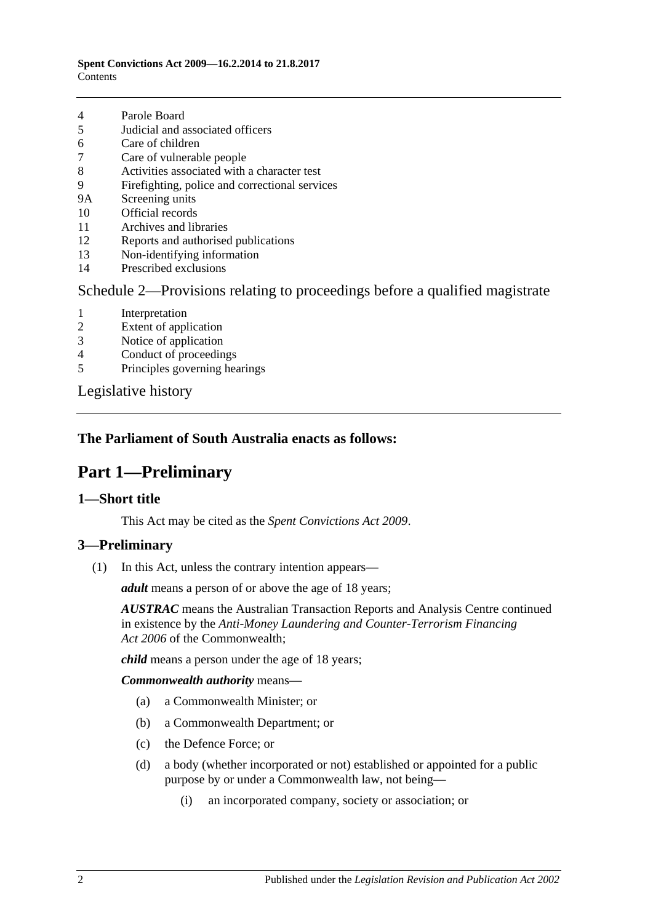#### **Spent Convictions Act 2009—16.2.2014 to 21.8.2017 Contents**

- 4 [Parole Board](#page-15-2)
- 5 [Judicial and associated officers](#page-15-3)
- 6 [Care of children](#page-16-0)
- 7 [Care of vulnerable people](#page-16-1)
- 8 [Activities associated with a character test](#page-17-0)
- 9 [Firefighting, police and correctional services](#page-17-1)
- 9A [Screening units](#page-17-2)
- 10 [Official records](#page-18-0)
- 11 [Archives and libraries](#page-18-1)
- 12 [Reports and authorised publications](#page-19-0)
- 13 [Non-identifying information](#page-19-1)
- 14 [Prescribed exclusions](#page-19-2)

[Schedule 2—Provisions relating to proceedings before a qualified magistrate](#page-19-3)

- 1 [Interpretation](#page-19-4)
- 2 [Extent of application](#page-19-5)
- 3 [Notice of application](#page-19-6)
- 4 [Conduct of proceedings](#page-20-0)<br>5 Principles governing hea
- [Principles governing hearings](#page-20-1)

[Legislative history](#page-22-0)

### <span id="page-1-0"></span>**The Parliament of South Australia enacts as follows:**

## **Part 1—Preliminary**

#### <span id="page-1-1"></span>**1—Short title**

This Act may be cited as the *Spent Convictions Act 2009*.

#### <span id="page-1-3"></span><span id="page-1-2"></span>**3—Preliminary**

(1) In this Act, unless the contrary intention appears—

*adult* means a person of or above the age of 18 years;

*AUSTRAC* means the Australian Transaction Reports and Analysis Centre continued in existence by the *Anti-Money Laundering and Counter-Terrorism Financing Act 2006* of the Commonwealth;

*child* means a person under the age of 18 years;

*Commonwealth authority* means—

- (a) a Commonwealth Minister; or
- (b) a Commonwealth Department; or
- (c) the Defence Force; or
- (d) a body (whether incorporated or not) established or appointed for a public purpose by or under a Commonwealth law, not being—
	- (i) an incorporated company, society or association; or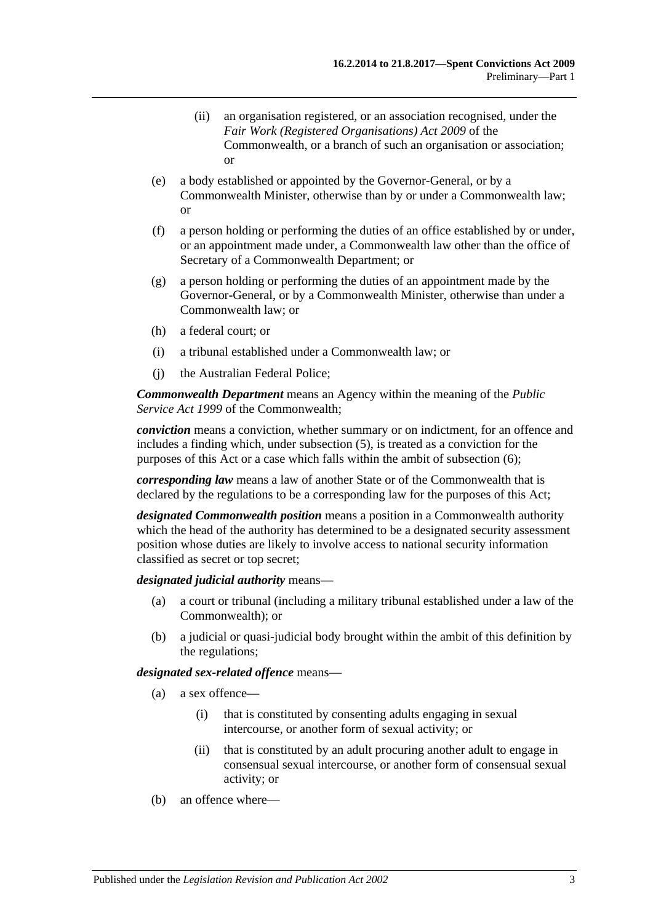- (ii) an organisation registered, or an association recognised, under the *Fair Work (Registered Organisations) Act 2009* of the Commonwealth, or a branch of such an organisation or association; or
- (e) a body established or appointed by the Governor-General, or by a Commonwealth Minister, otherwise than by or under a Commonwealth law; or
- (f) a person holding or performing the duties of an office established by or under, or an appointment made under, a Commonwealth law other than the office of Secretary of a Commonwealth Department; or
- (g) a person holding or performing the duties of an appointment made by the Governor-General, or by a Commonwealth Minister, otherwise than under a Commonwealth law; or
- (h) a federal court; or
- (i) a tribunal established under a Commonwealth law; or
- (j) the Australian Federal Police;

*Commonwealth Department* means an Agency within the meaning of the *Public Service Act 1999* of the Commonwealth;

*conviction* means a conviction, whether summary or on indictment, for an offence and includes a finding which, under [subsection](#page-6-1) (5), is treated as a conviction for the purposes of this Act or a case which falls within the ambit of [subsection](#page-6-2) (6);

*corresponding law* means a law of another State or of the Commonwealth that is declared by the regulations to be a corresponding law for the purposes of this Act;

*designated Commonwealth position* means a position in a Commonwealth authority which the head of the authority has determined to be a designated security assessment position whose duties are likely to involve access to national security information classified as secret or top secret;

#### *designated judicial authority* means—

- (a) a court or tribunal (including a military tribunal established under a law of the Commonwealth); or
- (b) a judicial or quasi-judicial body brought within the ambit of this definition by the regulations;

#### *designated sex-related offence* means—

- (a) a sex offence—
	- (i) that is constituted by consenting adults engaging in sexual intercourse, or another form of sexual activity; or
	- (ii) that is constituted by an adult procuring another adult to engage in consensual sexual intercourse, or another form of consensual sexual activity; or
- (b) an offence where—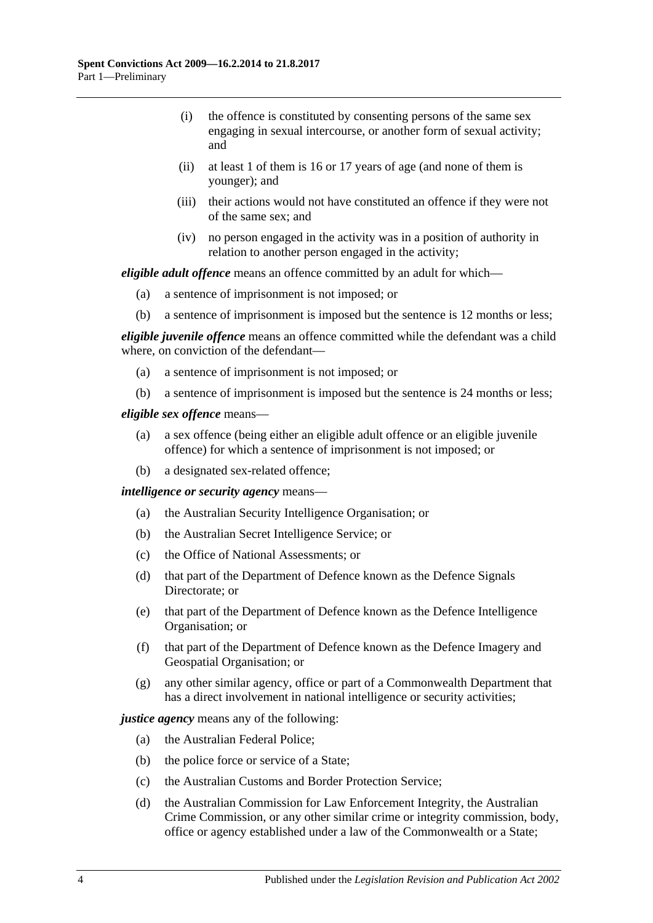- (i) the offence is constituted by consenting persons of the same sex engaging in sexual intercourse, or another form of sexual activity; and
- (ii) at least 1 of them is 16 or 17 years of age (and none of them is younger); and
- (iii) their actions would not have constituted an offence if they were not of the same sex; and
- (iv) no person engaged in the activity was in a position of authority in relation to another person engaged in the activity;

*eligible adult offence* means an offence committed by an adult for which—

- (a) a sentence of imprisonment is not imposed; or
- (b) a sentence of imprisonment is imposed but the sentence is 12 months or less;

*eligible juvenile offence* means an offence committed while the defendant was a child where, on conviction of the defendant—

- (a) a sentence of imprisonment is not imposed; or
- (b) a sentence of imprisonment is imposed but the sentence is 24 months or less;

#### *eligible sex offence* means—

- (a) a sex offence (being either an eligible adult offence or an eligible juvenile offence) for which a sentence of imprisonment is not imposed; or
- (b) a designated sex-related offence;

#### *intelligence or security agency* means—

- (a) the Australian Security Intelligence Organisation; or
- (b) the Australian Secret Intelligence Service; or
- (c) the Office of National Assessments; or
- (d) that part of the Department of Defence known as the Defence Signals Directorate; or
- (e) that part of the Department of Defence known as the Defence Intelligence Organisation; or
- (f) that part of the Department of Defence known as the Defence Imagery and Geospatial Organisation; or
- (g) any other similar agency, office or part of a Commonwealth Department that has a direct involvement in national intelligence or security activities;

#### *justice agency* means any of the following:

- (a) the Australian Federal Police;
- (b) the police force or service of a State;
- (c) the Australian Customs and Border Protection Service;
- (d) the Australian Commission for Law Enforcement Integrity, the Australian Crime Commission, or any other similar crime or integrity commission, body, office or agency established under a law of the Commonwealth or a State;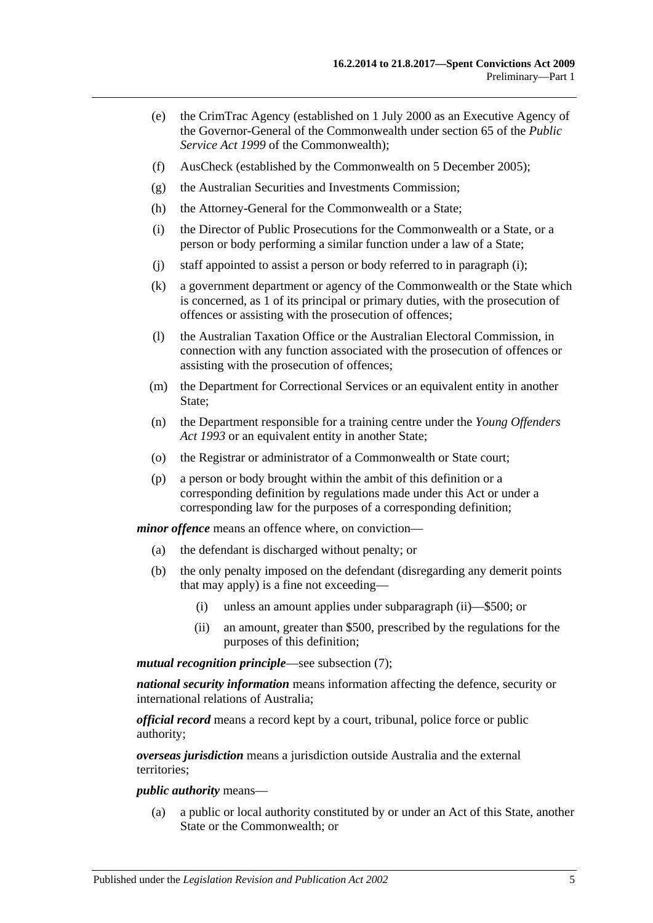- (e) the CrimTrac Agency (established on 1 July 2000 as an Executive Agency of the Governor-General of the Commonwealth under section 65 of the *Public Service Act 1999* of the Commonwealth);
- (f) AusCheck (established by the Commonwealth on 5 December 2005);
- (g) the Australian Securities and Investments Commission;
- (h) the Attorney-General for the Commonwealth or a State;
- <span id="page-4-0"></span>(i) the Director of Public Prosecutions for the Commonwealth or a State, or a person or body performing a similar function under a law of a State;
- (j) staff appointed to assist a person or body referred to in [paragraph](#page-4-0) (i);
- (k) a government department or agency of the Commonwealth or the State which is concerned, as 1 of its principal or primary duties, with the prosecution of offences or assisting with the prosecution of offences;
- (l) the Australian Taxation Office or the Australian Electoral Commission, in connection with any function associated with the prosecution of offences or assisting with the prosecution of offences;
- (m) the Department for Correctional Services or an equivalent entity in another State;
- (n) the Department responsible for a training centre under the *[Young Offenders](http://www.legislation.sa.gov.au/index.aspx?action=legref&type=act&legtitle=Young%20Offenders%20Act%201993)  Act [1993](http://www.legislation.sa.gov.au/index.aspx?action=legref&type=act&legtitle=Young%20Offenders%20Act%201993)* or an equivalent entity in another State;
- (o) the Registrar or administrator of a Commonwealth or State court;
- (p) a person or body brought within the ambit of this definition or a corresponding definition by regulations made under this Act or under a corresponding law for the purposes of a corresponding definition;

*minor offence* means an offence where, on conviction—

- (a) the defendant is discharged without penalty; or
- (b) the only penalty imposed on the defendant (disregarding any demerit points that may apply) is a fine not exceeding—
	- (i) unless an amount applies under [subparagraph](#page-4-1) (ii)—\$500; or
	- (ii) an amount, greater than \$500, prescribed by the regulations for the purposes of this definition;

<span id="page-4-1"></span>*mutual recognition principle*—see [subsection](#page-6-3) (7);

*national security information* means information affecting the defence, security or international relations of Australia;

*official record* means a record kept by a court, tribunal, police force or public authority;

*overseas jurisdiction* means a jurisdiction outside Australia and the external territories;

#### *public authority* means—

(a) a public or local authority constituted by or under an Act of this State, another State or the Commonwealth; or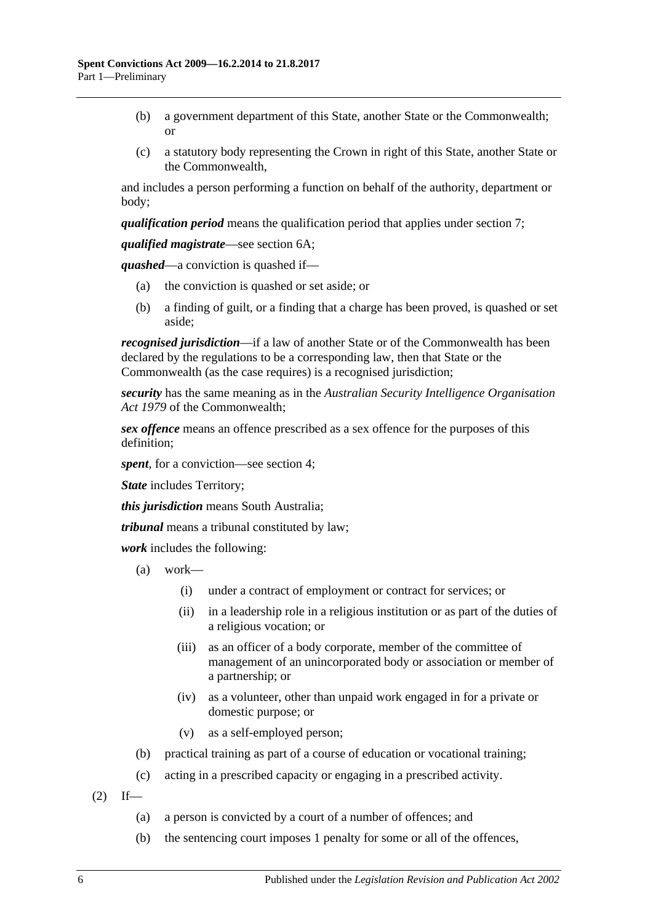- (b) a government department of this State, another State or the Commonwealth; or
- (c) a statutory body representing the Crown in right of this State, another State or the Commonwealth,

and includes a person performing a function on behalf of the authority, department or body;

*qualification period* means the qualification period that applies under [section](#page-8-2) 7;

*qualified magistrate*—see [section](#page-8-0) 6A;

*quashed*—a conviction is quashed if—

- (a) the conviction is quashed or set aside; or
- (b) a finding of guilt, or a finding that a charge has been proved, is quashed or set aside;

*recognised jurisdiction*—if a law of another State or of the Commonwealth has been declared by the regulations to be a corresponding law, then that State or the Commonwealth (as the case requires) is a recognised jurisdiction;

*security* has the same meaning as in the *Australian Security Intelligence Organisation Act 1979* of the Commonwealth;

*sex offence* means an offence prescribed as a sex offence for the purposes of this definition;

*spent*, for a conviction—see [section](#page-6-0) 4;

*State* includes Territory;

*this jurisdiction* means South Australia;

*tribunal* means a tribunal constituted by law;

*work* includes the following:

- (a) work—
	- (i) under a contract of employment or contract for services; or
	- (ii) in a leadership role in a religious institution or as part of the duties of a religious vocation; or
	- (iii) as an officer of a body corporate, member of the committee of management of an unincorporated body or association or member of a partnership; or
	- (iv) as a volunteer, other than unpaid work engaged in for a private or domestic purpose; or
	- (v) as a self-employed person;
- (b) practical training as part of a course of education or vocational training;
- (c) acting in a prescribed capacity or engaging in a prescribed activity.
- $(2)$  If—
	- (a) a person is convicted by a court of a number of offences; and
	- (b) the sentencing court imposes 1 penalty for some or all of the offences,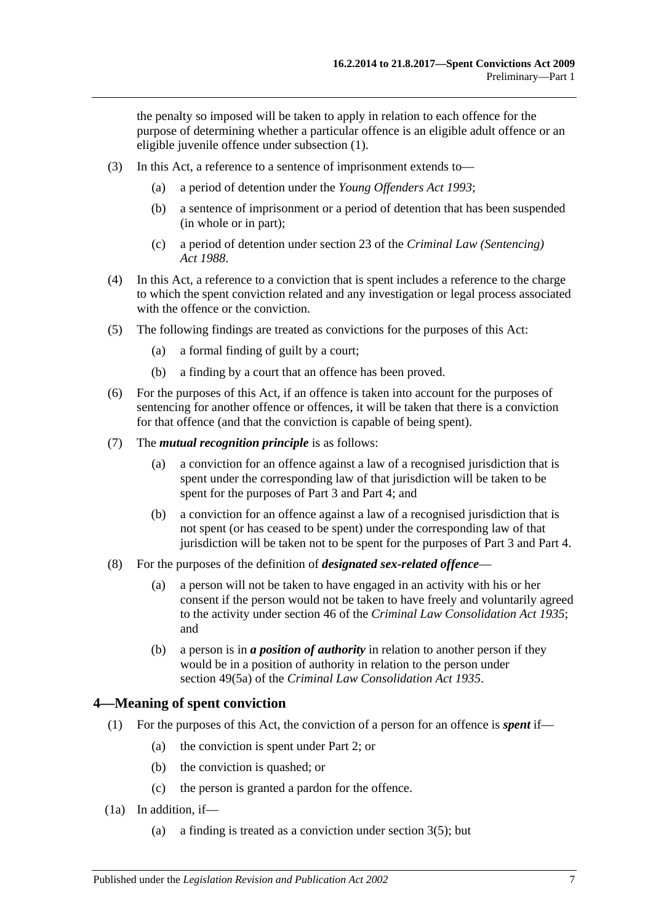the penalty so imposed will be taken to apply in relation to each offence for the purpose of determining whether a particular offence is an eligible adult offence or an eligible juvenile offence under [subsection](#page-1-3) (1).

- (3) In this Act, a reference to a sentence of imprisonment extends to—
	- (a) a period of detention under the *[Young Offenders Act](http://www.legislation.sa.gov.au/index.aspx?action=legref&type=act&legtitle=Young%20Offenders%20Act%201993) 1993*;
	- (b) a sentence of imprisonment or a period of detention that has been suspended (in whole or in part);
	- (c) a period of detention under section 23 of the *[Criminal Law \(Sentencing\)](http://www.legislation.sa.gov.au/index.aspx?action=legref&type=act&legtitle=Criminal%20Law%20(Sentencing)%20Act%201988)  Act [1988](http://www.legislation.sa.gov.au/index.aspx?action=legref&type=act&legtitle=Criminal%20Law%20(Sentencing)%20Act%201988)*.
- (4) In this Act, a reference to a conviction that is spent includes a reference to the charge to which the spent conviction related and any investigation or legal process associated with the offence or the conviction.
- <span id="page-6-1"></span>(5) The following findings are treated as convictions for the purposes of this Act:
	- (a) a formal finding of guilt by a court;
	- (b) a finding by a court that an offence has been proved.
- <span id="page-6-2"></span>(6) For the purposes of this Act, if an offence is taken into account for the purposes of sentencing for another offence or offences, it will be taken that there is a conviction for that offence (and that the conviction is capable of being spent).
- <span id="page-6-3"></span>(7) The *mutual recognition principle* is as follows:
	- (a) a conviction for an offence against a law of a recognised jurisdiction that is spent under the corresponding law of that jurisdiction will be taken to be spent for the purposes of [Part 3](#page-11-1) and [Part 4;](#page-14-0) and
	- (b) a conviction for an offence against a law of a recognised jurisdiction that is not spent (or has ceased to be spent) under the corresponding law of that jurisdiction will be taken not to be spent for the purposes of [Part 3](#page-11-1) and [Part 4.](#page-14-0)
- (8) For the purposes of the definition of *designated sex-related offence*
	- (a) a person will not be taken to have engaged in an activity with his or her consent if the person would not be taken to have freely and voluntarily agreed to the activity under section 46 of the *[Criminal Law Consolidation Act](http://www.legislation.sa.gov.au/index.aspx?action=legref&type=act&legtitle=Criminal%20Law%20Consolidation%20Act%201935) 1935*; and
	- (b) a person is in *a position of authority* in relation to another person if they would be in a position of authority in relation to the person under section 49(5a) of the *[Criminal Law Consolidation Act](http://www.legislation.sa.gov.au/index.aspx?action=legref&type=act&legtitle=Criminal%20Law%20Consolidation%20Act%201935) 1935*.

#### <span id="page-6-0"></span>**4—Meaning of spent conviction**

- (1) For the purposes of this Act, the conviction of a person for an offence is *spent* if—
	- (a) the conviction is spent under [Part 2;](#page-8-1) or
	- (b) the conviction is quashed; or
	- (c) the person is granted a pardon for the offence.
- <span id="page-6-4"></span>(1a) In addition, if—
	- (a) a finding is treated as a conviction under [section](#page-6-1) 3(5); but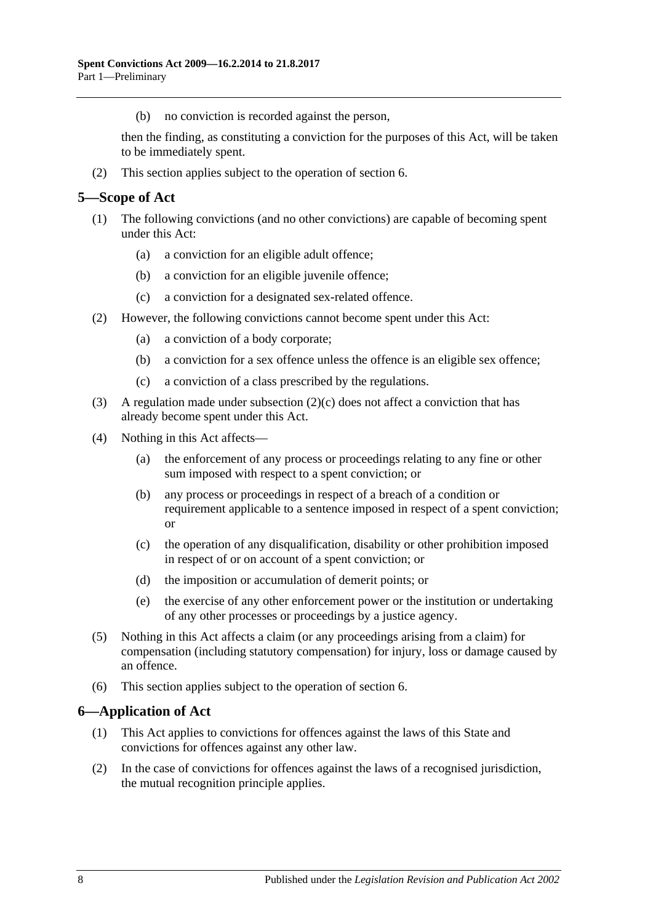(b) no conviction is recorded against the person,

then the finding, as constituting a conviction for the purposes of this Act, will be taken to be immediately spent.

(2) This section applies subject to the operation of [section](#page-7-1) 6.

#### <span id="page-7-0"></span>**5—Scope of Act**

- (1) The following convictions (and no other convictions) are capable of becoming spent under this Act:
	- (a) a conviction for an eligible adult offence;
	- (b) a conviction for an eligible juvenile offence;
	- (c) a conviction for a designated sex-related offence.
- (2) However, the following convictions cannot become spent under this Act:
	- (a) a conviction of a body corporate;
	- (b) a conviction for a sex offence unless the offence is an eligible sex offence;
	- (c) a conviction of a class prescribed by the regulations.
- <span id="page-7-2"></span>(3) A regulation made under [subsection](#page-7-2) (2)(c) does not affect a conviction that has already become spent under this Act.
- (4) Nothing in this Act affects—
	- (a) the enforcement of any process or proceedings relating to any fine or other sum imposed with respect to a spent conviction; or
	- (b) any process or proceedings in respect of a breach of a condition or requirement applicable to a sentence imposed in respect of a spent conviction; or
	- (c) the operation of any disqualification, disability or other prohibition imposed in respect of or on account of a spent conviction; or
	- (d) the imposition or accumulation of demerit points; or
	- (e) the exercise of any other enforcement power or the institution or undertaking of any other processes or proceedings by a justice agency.
- (5) Nothing in this Act affects a claim (or any proceedings arising from a claim) for compensation (including statutory compensation) for injury, loss or damage caused by an offence.
- (6) This section applies subject to the operation of [section](#page-7-1) 6.

#### <span id="page-7-1"></span>**6—Application of Act**

- (1) This Act applies to convictions for offences against the laws of this State and convictions for offences against any other law.
- (2) In the case of convictions for offences against the laws of a recognised jurisdiction, the mutual recognition principle applies.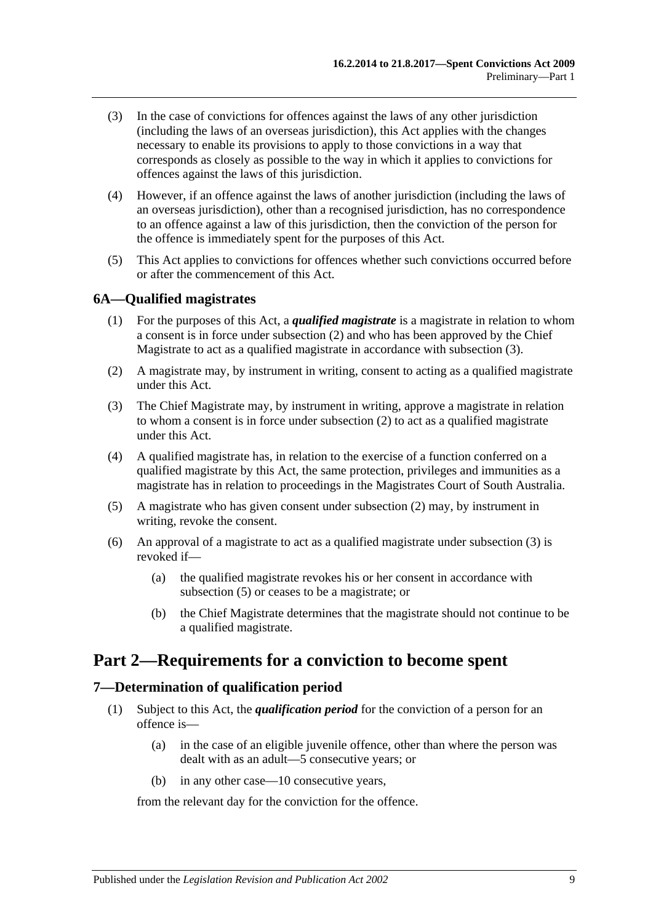- (3) In the case of convictions for offences against the laws of any other jurisdiction (including the laws of an overseas jurisdiction), this Act applies with the changes necessary to enable its provisions to apply to those convictions in a way that corresponds as closely as possible to the way in which it applies to convictions for offences against the laws of this jurisdiction.
- (4) However, if an offence against the laws of another jurisdiction (including the laws of an overseas jurisdiction), other than a recognised jurisdiction, has no correspondence to an offence against a law of this jurisdiction, then the conviction of the person for the offence is immediately spent for the purposes of this Act.
- (5) This Act applies to convictions for offences whether such convictions occurred before or after the commencement of this Act.

#### <span id="page-8-0"></span>**6A—Qualified magistrates**

- (1) For the purposes of this Act, a *qualified magistrate* is a magistrate in relation to whom a consent is in force under [subsection](#page-8-3) (2) and who has been approved by the Chief Magistrate to act as a qualified magistrate in accordance with [subsection](#page-8-4) (3).
- <span id="page-8-3"></span>(2) A magistrate may, by instrument in writing, consent to acting as a qualified magistrate under this Act.
- <span id="page-8-4"></span>(3) The Chief Magistrate may, by instrument in writing, approve a magistrate in relation to whom a consent is in force under [subsection](#page-8-3) (2) to act as a qualified magistrate under this Act.
- (4) A qualified magistrate has, in relation to the exercise of a function conferred on a qualified magistrate by this Act, the same protection, privileges and immunities as a magistrate has in relation to proceedings in the Magistrates Court of South Australia.
- <span id="page-8-5"></span>(5) A magistrate who has given consent under [subsection](#page-8-3) (2) may, by instrument in writing, revoke the consent.
- (6) An approval of a magistrate to act as a qualified magistrate under [subsection](#page-8-4) (3) is revoked if—
	- (a) the qualified magistrate revokes his or her consent in accordance with [subsection](#page-8-5) (5) or ceases to be a magistrate; or
	- (b) the Chief Magistrate determines that the magistrate should not continue to be a qualified magistrate.

## <span id="page-8-1"></span>**Part 2—Requirements for a conviction to become spent**

#### <span id="page-8-6"></span><span id="page-8-2"></span>**7—Determination of qualification period**

- (1) Subject to this Act, the *qualification period* for the conviction of a person for an offence is—
	- (a) in the case of an eligible juvenile offence, other than where the person was dealt with as an adult—5 consecutive years; or
	- (b) in any other case—10 consecutive years,

from the relevant day for the conviction for the offence.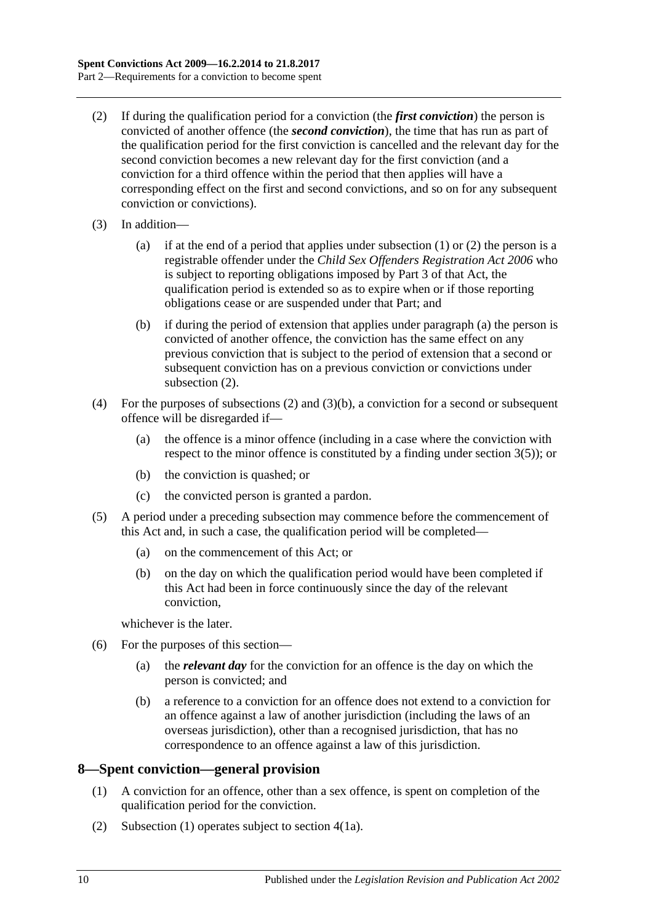- <span id="page-9-1"></span>(2) If during the qualification period for a conviction (the *first conviction*) the person is convicted of another offence (the *second conviction*), the time that has run as part of the qualification period for the first conviction is cancelled and the relevant day for the second conviction becomes a new relevant day for the first conviction (and a conviction for a third offence within the period that then applies will have a corresponding effect on the first and second convictions, and so on for any subsequent conviction or convictions).
- <span id="page-9-2"></span>(3) In addition—
	- (a) if at the end of a period that applies under [subsection](#page-8-6) (1) or [\(2\)](#page-9-1) the person is a registrable offender under the *[Child Sex Offenders Registration](http://www.legislation.sa.gov.au/index.aspx?action=legref&type=act&legtitle=Child%20Sex%20Offenders%20Registration%20Act%202006) Act 2006* who is subject to reporting obligations imposed by Part 3 of that Act, the qualification period is extended so as to expire when or if those reporting obligations cease or are suspended under that Part; and
	- (b) if during the period of extension that applies under [paragraph](#page-9-2) (a) the person is convicted of another offence, the conviction has the same effect on any previous conviction that is subject to the period of extension that a second or subsequent conviction has on a previous conviction or convictions under [subsection](#page-9-1)  $(2)$ .
- <span id="page-9-3"></span>(4) For the purposes of [subsections](#page-9-1) (2) and [\(3\)\(b\),](#page-9-3) a conviction for a second or subsequent offence will be disregarded if—
	- (a) the offence is a minor offence (including in a case where the conviction with respect to the minor offence is constituted by a finding under [section](#page-6-1) 3(5)); or
	- (b) the conviction is quashed; or
	- (c) the convicted person is granted a pardon.
- (5) A period under a preceding subsection may commence before the commencement of this Act and, in such a case, the qualification period will be completed—
	- (a) on the commencement of this Act; or
	- (b) on the day on which the qualification period would have been completed if this Act had been in force continuously since the day of the relevant conviction,

whichever is the later.

- (6) For the purposes of this section—
	- (a) the *relevant day* for the conviction for an offence is the day on which the person is convicted; and
	- (b) a reference to a conviction for an offence does not extend to a conviction for an offence against a law of another jurisdiction (including the laws of an overseas jurisdiction), other than a recognised jurisdiction, that has no correspondence to an offence against a law of this jurisdiction.

#### <span id="page-9-4"></span><span id="page-9-0"></span>**8—Spent conviction—general provision**

- (1) A conviction for an offence, other than a sex offence, is spent on completion of the qualification period for the conviction.
- (2) [Subsection](#page-9-4) (1) operates subject to [section](#page-6-4) 4(1a).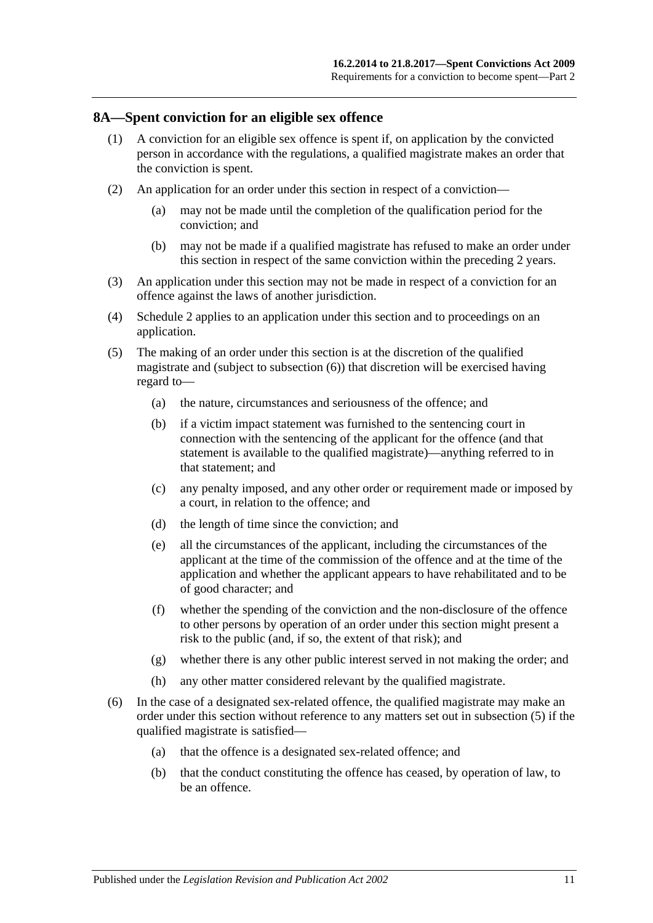#### <span id="page-10-0"></span>**8A—Spent conviction for an eligible sex offence**

- (1) A conviction for an eligible sex offence is spent if, on application by the convicted person in accordance with the regulations, a qualified magistrate makes an order that the conviction is spent.
- (2) An application for an order under this section in respect of a conviction—
	- (a) may not be made until the completion of the qualification period for the conviction; and
	- (b) may not be made if a qualified magistrate has refused to make an order under this section in respect of the same conviction within the preceding 2 years.
- (3) An application under this section may not be made in respect of a conviction for an offence against the laws of another jurisdiction.
- (4) [Schedule 2](#page-19-3) applies to an application under this section and to proceedings on an application.
- <span id="page-10-1"></span>(5) The making of an order under this section is at the discretion of the qualified magistrate and (subject to subsection (6)) that discretion will be exercised having regard to—
	- (a) the nature, circumstances and seriousness of the offence; and
	- (b) if a victim impact statement was furnished to the sentencing court in connection with the sentencing of the applicant for the offence (and that statement is available to the qualified magistrate)—anything referred to in that statement; and
	- (c) any penalty imposed, and any other order or requirement made or imposed by a court, in relation to the offence; and
	- (d) the length of time since the conviction; and
	- (e) all the circumstances of the applicant, including the circumstances of the applicant at the time of the commission of the offence and at the time of the application and whether the applicant appears to have rehabilitated and to be of good character; and
	- (f) whether the spending of the conviction and the non-disclosure of the offence to other persons by operation of an order under this section might present a risk to the public (and, if so, the extent of that risk); and
	- (g) whether there is any other public interest served in not making the order; and
	- (h) any other matter considered relevant by the qualified magistrate.
- (6) In the case of a designated sex-related offence, the qualified magistrate may make an order under this section without reference to any matters set out in [subsection](#page-10-1) (5) if the qualified magistrate is satisfied—
	- (a) that the offence is a designated sex-related offence; and
	- (b) that the conduct constituting the offence has ceased, by operation of law, to be an offence.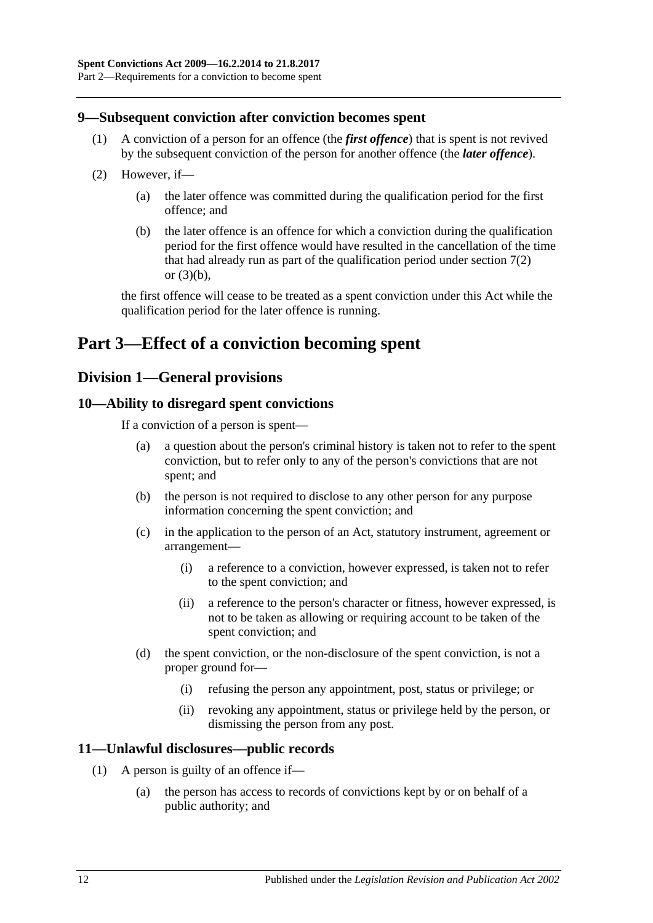#### <span id="page-11-0"></span>**9—Subsequent conviction after conviction becomes spent**

- (1) A conviction of a person for an offence (the *first offence*) that is spent is not revived by the subsequent conviction of the person for another offence (the *later offence*).
- (2) However, if—
	- (a) the later offence was committed during the qualification period for the first offence; and
	- (b) the later offence is an offence for which a conviction during the qualification period for the first offence would have resulted in the cancellation of the time that had already run as part of the qualification period under [section](#page-9-1) 7(2) or [\(3\)\(b\),](#page-9-3)

the first offence will cease to be treated as a spent conviction under this Act while the qualification period for the later offence is running.

## <span id="page-11-2"></span><span id="page-11-1"></span>**Part 3—Effect of a conviction becoming spent**

### **Division 1—General provisions**

#### <span id="page-11-3"></span>**10—Ability to disregard spent convictions**

If a conviction of a person is spent—

- (a) a question about the person's criminal history is taken not to refer to the spent conviction, but to refer only to any of the person's convictions that are not spent; and
- (b) the person is not required to disclose to any other person for any purpose information concerning the spent conviction; and
- (c) in the application to the person of an Act, statutory instrument, agreement or arrangement—
	- (i) a reference to a conviction, however expressed, is taken not to refer to the spent conviction; and
	- (ii) a reference to the person's character or fitness, however expressed, is not to be taken as allowing or requiring account to be taken of the spent conviction; and
- (d) the spent conviction, or the non-disclosure of the spent conviction, is not a proper ground for—
	- (i) refusing the person any appointment, post, status or privilege; or
	- (ii) revoking any appointment, status or privilege held by the person, or dismissing the person from any post.

#### <span id="page-11-5"></span><span id="page-11-4"></span>**11—Unlawful disclosures—public records**

- (1) A person is guilty of an offence if—
	- (a) the person has access to records of convictions kept by or on behalf of a public authority; and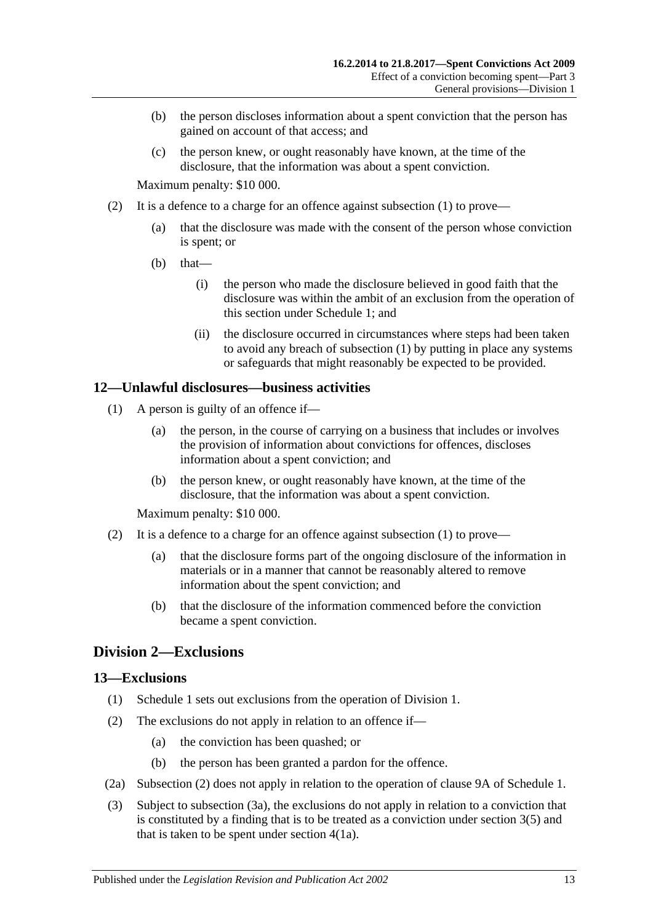- (b) the person discloses information about a spent conviction that the person has gained on account of that access; and
- (c) the person knew, or ought reasonably have known, at the time of the disclosure, that the information was about a spent conviction.

Maximum penalty: \$10 000.

- (2) It is a defence to a charge for an offence against [subsection](#page-11-5)  $(1)$  to prove—
	- (a) that the disclosure was made with the consent of the person whose conviction is spent; or
	- $(b)$  that—
		- (i) the person who made the disclosure believed in good faith that the disclosure was within the ambit of an exclusion from the operation of this section under [Schedule 1;](#page-14-5) and
		- (ii) the disclosure occurred in circumstances where steps had been taken to avoid any breach of [subsection](#page-11-5) (1) by putting in place any systems or safeguards that might reasonably be expected to be provided.

#### <span id="page-12-3"></span><span id="page-12-0"></span>**12—Unlawful disclosures—business activities**

- (1) A person is guilty of an offence if—
	- (a) the person, in the course of carrying on a business that includes or involves the provision of information about convictions for offences, discloses information about a spent conviction; and
	- (b) the person knew, or ought reasonably have known, at the time of the disclosure, that the information was about a spent conviction.

Maximum penalty: \$10 000.

- (2) It is a defence to a charge for an offence against [subsection](#page-12-3)  $(1)$  to prove—
	- (a) that the disclosure forms part of the ongoing disclosure of the information in materials or in a manner that cannot be reasonably altered to remove information about the spent conviction; and
	- (b) that the disclosure of the information commenced before the conviction became a spent conviction.

### <span id="page-12-1"></span>**Division 2—Exclusions**

#### <span id="page-12-2"></span>**13—Exclusions**

- (1) [Schedule 1](#page-14-5) sets out exclusions from the operation of [Division 1.](#page-11-2)
- <span id="page-12-4"></span>(2) The exclusions do not apply in relation to an offence if—
	- (a) the conviction has been quashed; or
	- (b) the person has been granted a pardon for the offence.
- (2a) [Subsection](#page-12-4) (2) does not apply in relation to the operation of [clause](#page-17-2) 9A of [Schedule 1.](#page-14-5)
- <span id="page-12-5"></span>(3) Subject to [subsection](#page-13-1) (3a), the exclusions do not apply in relation to a conviction that is constituted by a finding that is to be treated as a conviction under [section](#page-6-1) 3(5) and that is taken to be spent under [section](#page-6-4)  $4(1a)$ .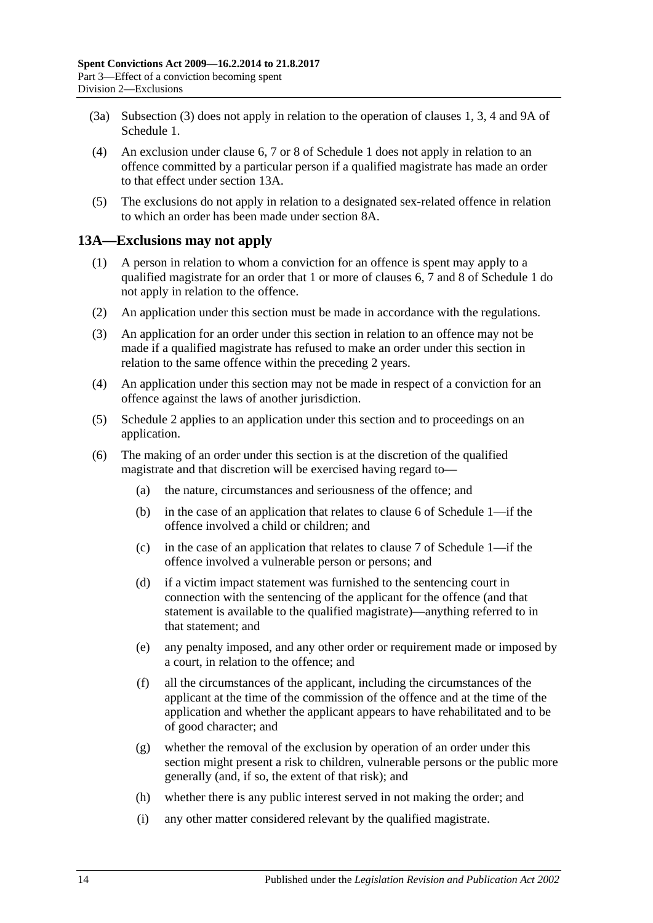- <span id="page-13-1"></span>(3a) [Subsection](#page-12-5) (3) does not apply in relation to the operation of [clauses](#page-14-6) 1, [3,](#page-15-1) [4](#page-15-2) and [9A](#page-17-2) of [Schedule 1.](#page-14-5)
- (4) An exclusion under [clause](#page-16-0) 6, [7](#page-16-1) or [8](#page-17-0) of [Schedule 1](#page-14-5) does not apply in relation to an offence committed by a particular person if a qualified magistrate has made an order to that effect under [section](#page-13-0) 13A.
- (5) The exclusions do not apply in relation to a designated sex-related offence in relation to which an order has been made under [section](#page-10-0) 8A.

#### <span id="page-13-0"></span>**13A—Exclusions may not apply**

- (1) A person in relation to whom a conviction for an offence is spent may apply to a qualified magistrate for an order that 1 or more of [clauses](#page-16-0) 6, [7](#page-16-1) and [8](#page-17-0) of [Schedule 1](#page-14-5) do not apply in relation to the offence.
- (2) An application under this section must be made in accordance with the regulations.
- (3) An application for an order under this section in relation to an offence may not be made if a qualified magistrate has refused to make an order under this section in relation to the same offence within the preceding 2 years.
- (4) An application under this section may not be made in respect of a conviction for an offence against the laws of another jurisdiction.
- (5) [Schedule 2](#page-19-3) applies to an application under this section and to proceedings on an application.
- (6) The making of an order under this section is at the discretion of the qualified magistrate and that discretion will be exercised having regard to—
	- (a) the nature, circumstances and seriousness of the offence; and
	- (b) in the case of an application that relates to [clause](#page-16-0) 6 of [Schedule 1—](#page-14-5)if the offence involved a child or children; and
	- (c) in the case of an application that relates to [clause](#page-16-1) 7 of [Schedule 1—](#page-14-5)if the offence involved a vulnerable person or persons; and
	- (d) if a victim impact statement was furnished to the sentencing court in connection with the sentencing of the applicant for the offence (and that statement is available to the qualified magistrate)—anything referred to in that statement; and
	- (e) any penalty imposed, and any other order or requirement made or imposed by a court, in relation to the offence; and
	- (f) all the circumstances of the applicant, including the circumstances of the applicant at the time of the commission of the offence and at the time of the application and whether the applicant appears to have rehabilitated and to be of good character; and
	- (g) whether the removal of the exclusion by operation of an order under this section might present a risk to children, vulnerable persons or the public more generally (and, if so, the extent of that risk); and
	- (h) whether there is any public interest served in not making the order; and
	- (i) any other matter considered relevant by the qualified magistrate.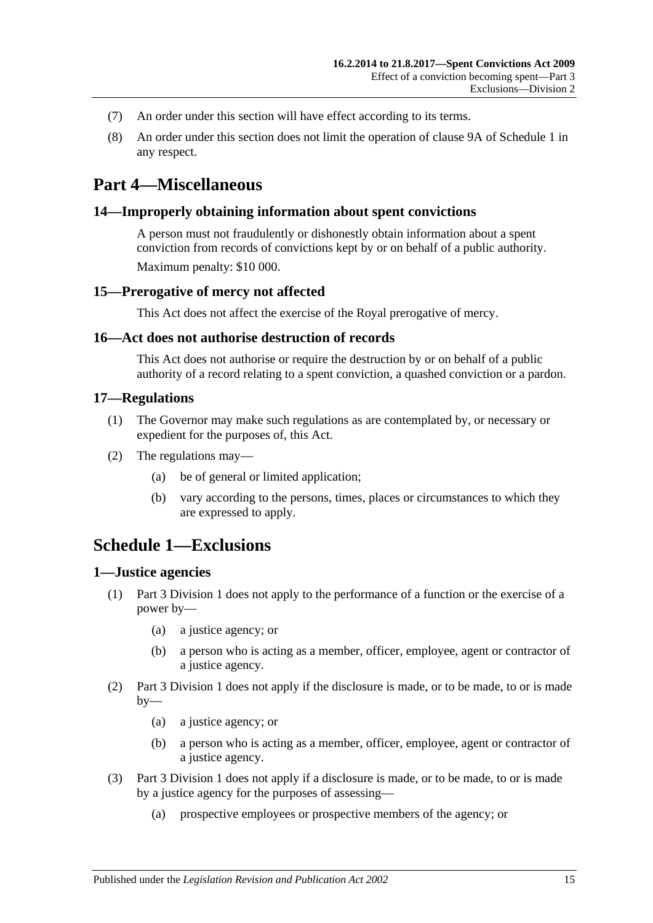- (7) An order under this section will have effect according to its terms.
- (8) An order under this section does not limit the operation of [clause](#page-17-2) 9A of [Schedule 1](#page-14-5) in any respect.

## <span id="page-14-0"></span>**Part 4—Miscellaneous**

#### <span id="page-14-1"></span>**14—Improperly obtaining information about spent convictions**

A person must not fraudulently or dishonestly obtain information about a spent conviction from records of convictions kept by or on behalf of a public authority. Maximum penalty: \$10 000.

#### <span id="page-14-2"></span>**15—Prerogative of mercy not affected**

This Act does not affect the exercise of the Royal prerogative of mercy.

#### <span id="page-14-3"></span>**16—Act does not authorise destruction of records**

This Act does not authorise or require the destruction by or on behalf of a public authority of a record relating to a spent conviction, a quashed conviction or a pardon.

#### <span id="page-14-4"></span>**17—Regulations**

- (1) The Governor may make such regulations as are contemplated by, or necessary or expedient for the purposes of, this Act.
- (2) The regulations may—
	- (a) be of general or limited application;
	- (b) vary according to the persons, times, places or circumstances to which they are expressed to apply.

## <span id="page-14-5"></span>**Schedule 1—Exclusions**

#### <span id="page-14-6"></span>**1—Justice agencies**

- (1) [Part 3 Division 1](#page-11-2) does not apply to the performance of a function or the exercise of a power by—
	- (a) a justice agency; or
	- (b) a person who is acting as a member, officer, employee, agent or contractor of a justice agency.
- (2) [Part 3 Division 1](#page-11-2) does not apply if the disclosure is made, or to be made, to or is made  $by-$ 
	- (a) a justice agency; or
	- (b) a person who is acting as a member, officer, employee, agent or contractor of a justice agency.
- (3) [Part 3 Division 1](#page-11-2) does not apply if a disclosure is made, or to be made, to or is made by a justice agency for the purposes of assessing—
	- (a) prospective employees or prospective members of the agency; or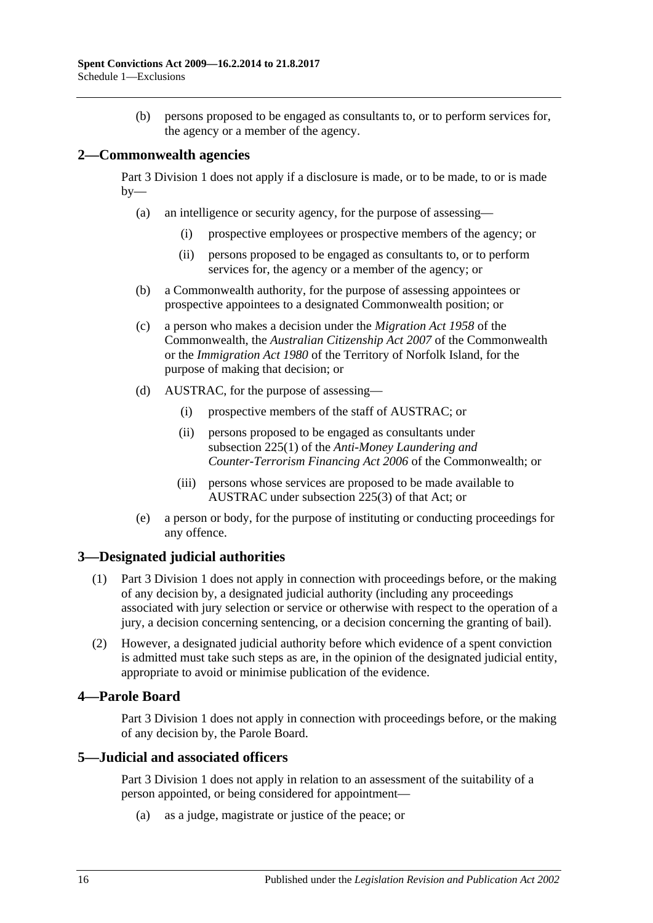(b) persons proposed to be engaged as consultants to, or to perform services for, the agency or a member of the agency.

### <span id="page-15-0"></span>**2—Commonwealth agencies**

[Part 3 Division 1](#page-11-2) does not apply if a disclosure is made, or to be made, to or is made  $by-$ 

- (a) an intelligence or security agency, for the purpose of assessing—
	- (i) prospective employees or prospective members of the agency; or
	- (ii) persons proposed to be engaged as consultants to, or to perform services for, the agency or a member of the agency; or
- (b) a Commonwealth authority, for the purpose of assessing appointees or prospective appointees to a designated Commonwealth position; or
- (c) a person who makes a decision under the *Migration Act 1958* of the Commonwealth, the *Australian Citizenship Act 2007* of the Commonwealth or the *Immigration Act 1980* of the Territory of Norfolk Island, for the purpose of making that decision; or
- (d) AUSTRAC, for the purpose of assessing—
	- (i) prospective members of the staff of AUSTRAC; or
	- (ii) persons proposed to be engaged as consultants under subsection 225(1) of the *Anti-Money Laundering and Counter-Terrorism Financing Act 2006* of the Commonwealth; or
	- (iii) persons whose services are proposed to be made available to AUSTRAC under subsection 225(3) of that Act; or
- (e) a person or body, for the purpose of instituting or conducting proceedings for any offence.

#### <span id="page-15-1"></span>**3—Designated judicial authorities**

- (1) [Part 3 Division 1](#page-11-2) does not apply in connection with proceedings before, or the making of any decision by, a designated judicial authority (including any proceedings associated with jury selection or service or otherwise with respect to the operation of a jury, a decision concerning sentencing, or a decision concerning the granting of bail).
- (2) However, a designated judicial authority before which evidence of a spent conviction is admitted must take such steps as are, in the opinion of the designated judicial entity, appropriate to avoid or minimise publication of the evidence.

#### <span id="page-15-2"></span>**4—Parole Board**

[Part 3 Division 1](#page-11-2) does not apply in connection with proceedings before, or the making of any decision by, the Parole Board.

#### <span id="page-15-3"></span>**5—Judicial and associated officers**

[Part 3 Division 1](#page-11-2) does not apply in relation to an assessment of the suitability of a person appointed, or being considered for appointment—

(a) as a judge, magistrate or justice of the peace; or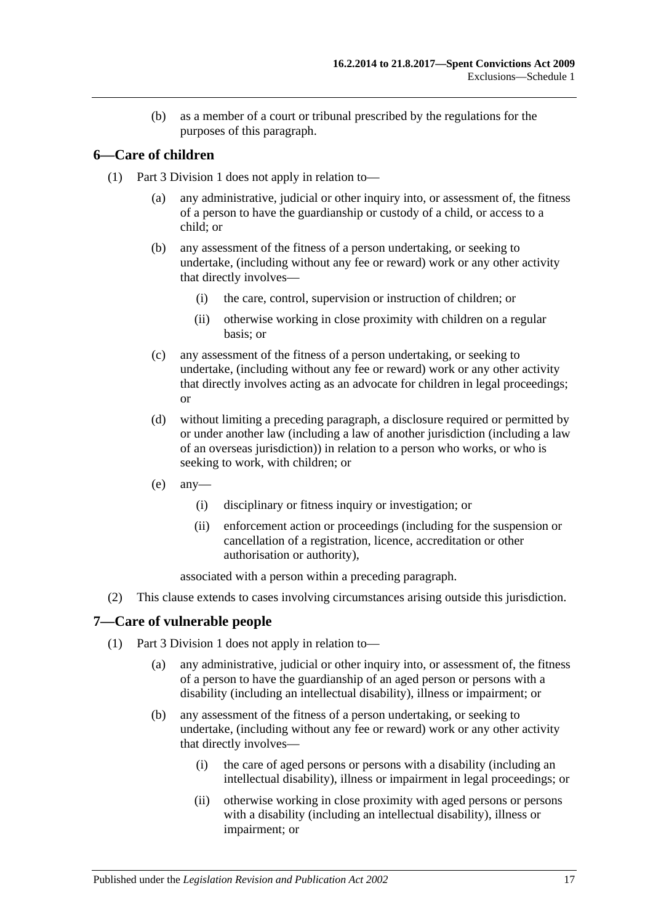(b) as a member of a court or tribunal prescribed by the regulations for the purposes of this paragraph.

### <span id="page-16-0"></span>**6—Care of children**

- (1) [Part 3 Division 1](#page-11-2) does not apply in relation to—
	- (a) any administrative, judicial or other inquiry into, or assessment of, the fitness of a person to have the guardianship or custody of a child, or access to a child; or
	- (b) any assessment of the fitness of a person undertaking, or seeking to undertake, (including without any fee or reward) work or any other activity that directly involves—
		- (i) the care, control, supervision or instruction of children; or
		- (ii) otherwise working in close proximity with children on a regular basis; or
	- (c) any assessment of the fitness of a person undertaking, or seeking to undertake, (including without any fee or reward) work or any other activity that directly involves acting as an advocate for children in legal proceedings; or
	- (d) without limiting a preceding paragraph, a disclosure required or permitted by or under another law (including a law of another jurisdiction (including a law of an overseas jurisdiction)) in relation to a person who works, or who is seeking to work, with children; or
	- $(e)$  any-
		- (i) disciplinary or fitness inquiry or investigation; or
		- (ii) enforcement action or proceedings (including for the suspension or cancellation of a registration, licence, accreditation or other authorisation or authority),

associated with a person within a preceding paragraph.

(2) This clause extends to cases involving circumstances arising outside this jurisdiction.

#### <span id="page-16-1"></span>**7—Care of vulnerable people**

- (1) [Part 3 Division 1](#page-11-2) does not apply in relation to—
	- (a) any administrative, judicial or other inquiry into, or assessment of, the fitness of a person to have the guardianship of an aged person or persons with a disability (including an intellectual disability), illness or impairment; or
	- (b) any assessment of the fitness of a person undertaking, or seeking to undertake, (including without any fee or reward) work or any other activity that directly involves—
		- (i) the care of aged persons or persons with a disability (including an intellectual disability), illness or impairment in legal proceedings; or
		- (ii) otherwise working in close proximity with aged persons or persons with a disability (including an intellectual disability), illness or impairment; or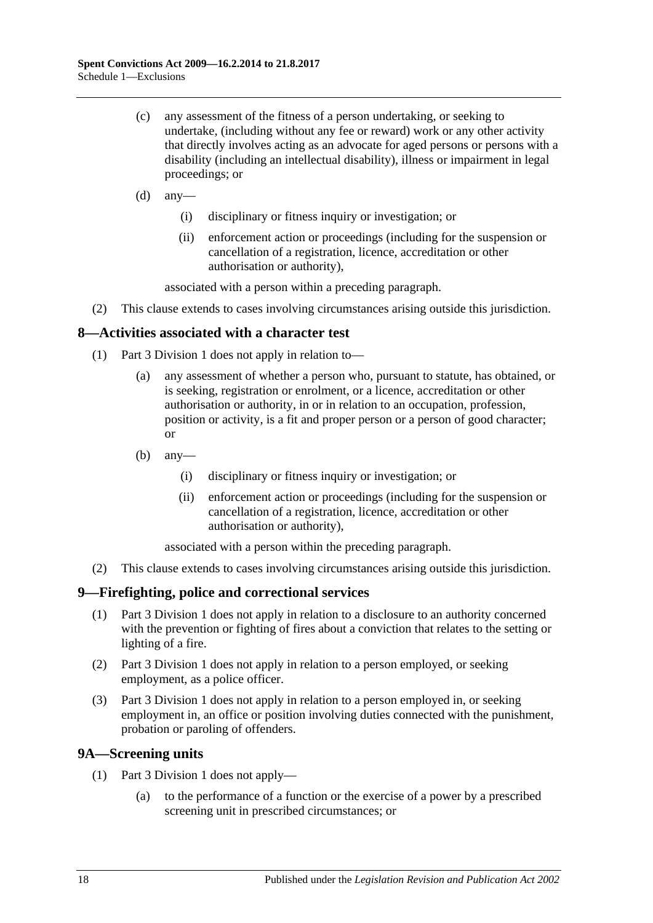- (c) any assessment of the fitness of a person undertaking, or seeking to undertake, (including without any fee or reward) work or any other activity that directly involves acting as an advocate for aged persons or persons with a disability (including an intellectual disability), illness or impairment in legal proceedings; or
- $(d)$  any-
	- (i) disciplinary or fitness inquiry or investigation; or
	- (ii) enforcement action or proceedings (including for the suspension or cancellation of a registration, licence, accreditation or other authorisation or authority),

associated with a person within a preceding paragraph.

(2) This clause extends to cases involving circumstances arising outside this jurisdiction.

#### <span id="page-17-0"></span>**8—Activities associated with a character test**

- (1) [Part 3 Division 1](#page-11-2) does not apply in relation to—
	- (a) any assessment of whether a person who, pursuant to statute, has obtained, or is seeking, registration or enrolment, or a licence, accreditation or other authorisation or authority, in or in relation to an occupation, profession, position or activity, is a fit and proper person or a person of good character; or
	- (b) any—
		- (i) disciplinary or fitness inquiry or investigation; or
		- (ii) enforcement action or proceedings (including for the suspension or cancellation of a registration, licence, accreditation or other authorisation or authority),

associated with a person within the preceding paragraph.

(2) This clause extends to cases involving circumstances arising outside this jurisdiction.

#### <span id="page-17-1"></span>**9—Firefighting, police and correctional services**

- (1) [Part 3 Division 1](#page-11-2) does not apply in relation to a disclosure to an authority concerned with the prevention or fighting of fires about a conviction that relates to the setting or lighting of a fire.
- (2) [Part 3 Division 1](#page-11-2) does not apply in relation to a person employed, or seeking employment, as a police officer.
- (3) [Part 3 Division 1](#page-11-2) does not apply in relation to a person employed in, or seeking employment in, an office or position involving duties connected with the punishment, probation or paroling of offenders.

#### <span id="page-17-3"></span><span id="page-17-2"></span>**9A—Screening units**

- (1) [Part 3 Division 1](#page-11-2) does not apply—
	- (a) to the performance of a function or the exercise of a power by a prescribed screening unit in prescribed circumstances; or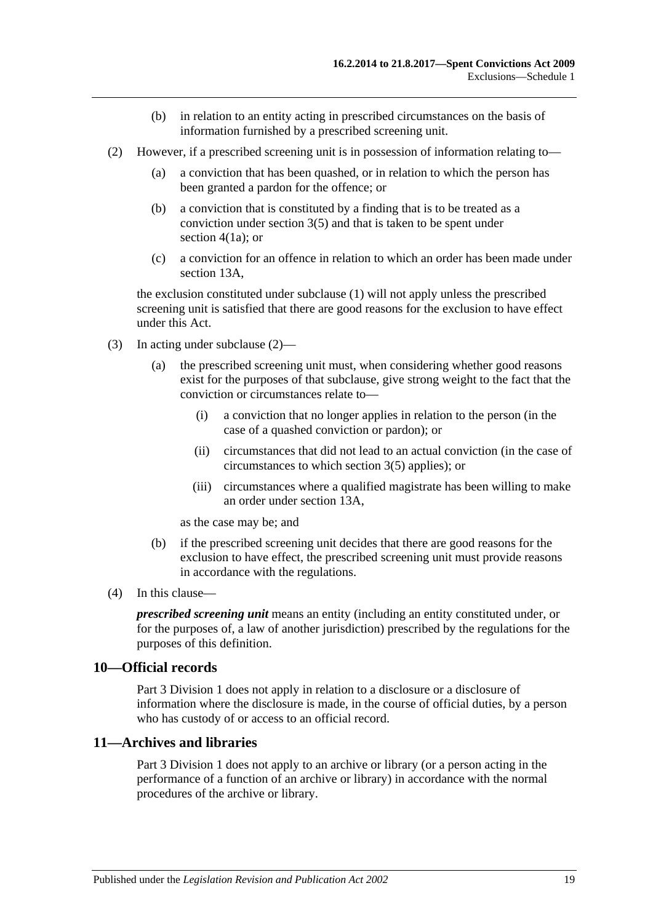- (b) in relation to an entity acting in prescribed circumstances on the basis of information furnished by a prescribed screening unit.
- <span id="page-18-2"></span>(2) However, if a prescribed screening unit is in possession of information relating to—
	- (a) a conviction that has been quashed, or in relation to which the person has been granted a pardon for the offence; or
	- (b) a conviction that is constituted by a finding that is to be treated as a conviction under [section](#page-6-1) 3(5) and that is taken to be spent under [section](#page-6-4) 4(1a); or
	- (c) a conviction for an offence in relation to which an order has been made under [section](#page-13-0) 13A,

the exclusion constituted under [subclause](#page-17-3) (1) will not apply unless the prescribed screening unit is satisfied that there are good reasons for the exclusion to have effect under this Act.

- (3) In acting under [subclause](#page-18-2) (2)—
	- (a) the prescribed screening unit must, when considering whether good reasons exist for the purposes of that subclause, give strong weight to the fact that the conviction or circumstances relate to—
		- (i) a conviction that no longer applies in relation to the person (in the case of a quashed conviction or pardon); or
		- (ii) circumstances that did not lead to an actual conviction (in the case of circumstances to which [section](#page-6-1) 3(5) applies); or
		- (iii) circumstances where a qualified magistrate has been willing to make an order under [section](#page-13-0) 13A,

as the case may be; and

- (b) if the prescribed screening unit decides that there are good reasons for the exclusion to have effect, the prescribed screening unit must provide reasons in accordance with the regulations.
- (4) In this clause—

*prescribed screening unit* means an entity (including an entity constituted under, or for the purposes of, a law of another jurisdiction) prescribed by the regulations for the purposes of this definition.

#### <span id="page-18-0"></span>**10—Official records**

[Part 3 Division 1](#page-11-2) does not apply in relation to a disclosure or a disclosure of information where the disclosure is made, in the course of official duties, by a person who has custody of or access to an official record.

#### <span id="page-18-1"></span>**11—Archives and libraries**

[Part 3 Division 1](#page-11-2) does not apply to an archive or library (or a person acting in the performance of a function of an archive or library) in accordance with the normal procedures of the archive or library.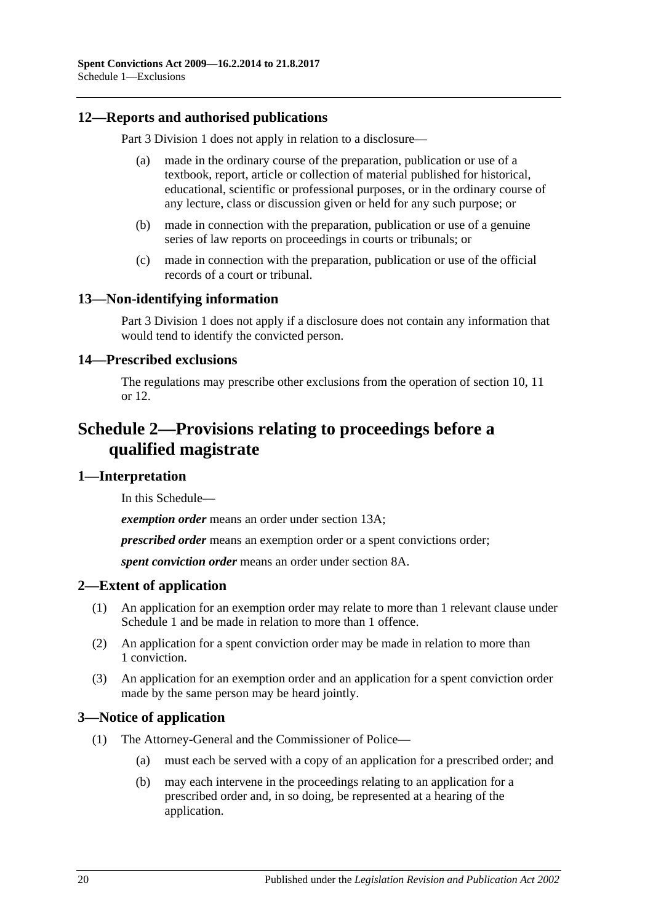### <span id="page-19-0"></span>**12—Reports and authorised publications**

[Part 3 Division 1](#page-11-2) does not apply in relation to a disclosure—

- (a) made in the ordinary course of the preparation, publication or use of a textbook, report, article or collection of material published for historical, educational, scientific or professional purposes, or in the ordinary course of any lecture, class or discussion given or held for any such purpose; or
- (b) made in connection with the preparation, publication or use of a genuine series of law reports on proceedings in courts or tribunals; or
- (c) made in connection with the preparation, publication or use of the official records of a court or tribunal.

#### <span id="page-19-1"></span>**13—Non-identifying information**

[Part 3 Division 1](#page-11-2) does not apply if a disclosure does not contain any information that would tend to identify the convicted person.

#### <span id="page-19-2"></span>**14—Prescribed exclusions**

The regulations may prescribe other exclusions from the operation of [section](#page-11-3) 10, [11](#page-11-4) or [12.](#page-19-0)

## <span id="page-19-3"></span>**Schedule 2—Provisions relating to proceedings before a qualified magistrate**

#### <span id="page-19-4"></span>**1—Interpretation**

In this Schedule—

*exemption order* means an order under [section](#page-13-0) 13A;

*prescribed order* means an exemption order or a spent convictions order;

*spent conviction order* means an order under [section](#page-10-0) 8A.

#### <span id="page-19-5"></span>**2—Extent of application**

- (1) An application for an exemption order may relate to more than 1 relevant clause under [Schedule 1](#page-14-5) and be made in relation to more than 1 offence.
- (2) An application for a spent conviction order may be made in relation to more than 1 conviction.
- (3) An application for an exemption order and an application for a spent conviction order made by the same person may be heard jointly.

#### <span id="page-19-6"></span>**3—Notice of application**

- (1) The Attorney-General and the Commissioner of Police—
	- (a) must each be served with a copy of an application for a prescribed order; and
	- (b) may each intervene in the proceedings relating to an application for a prescribed order and, in so doing, be represented at a hearing of the application.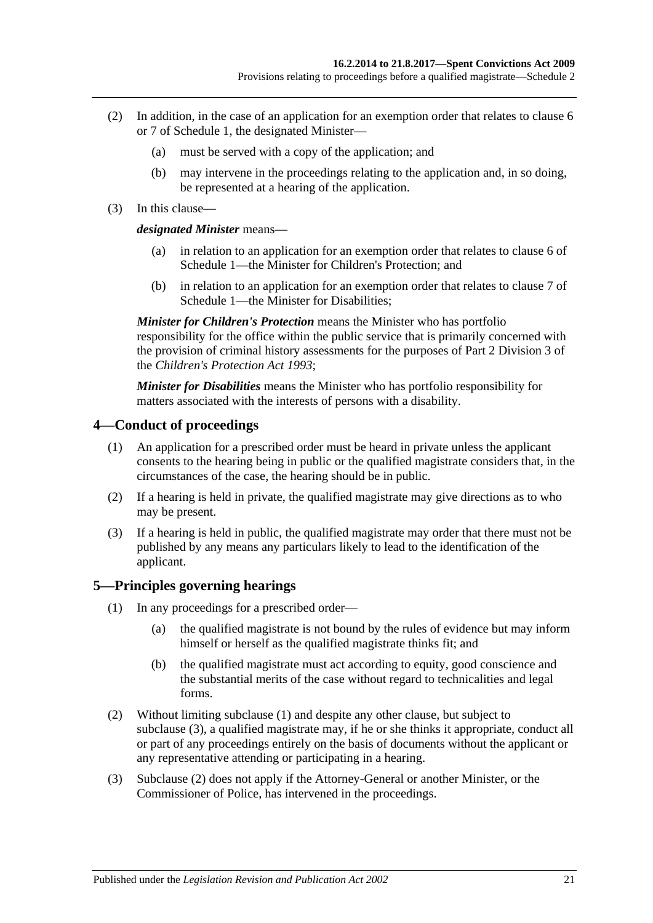- (2) In addition, in the case of an application for an exemption order that relates to [clause](#page-16-0) 6 or [7](#page-16-1) of [Schedule 1,](#page-14-5) the designated Minister—
	- (a) must be served with a copy of the application; and
	- (b) may intervene in the proceedings relating to the application and, in so doing, be represented at a hearing of the application.
- (3) In this clause—

#### *designated Minister* means—

- (a) in relation to an application for an exemption order that relates to [clause](#page-16-0) 6 of [Schedule 1—](#page-14-5)the Minister for Children's Protection; and
- (b) in relation to an application for an exemption order that relates to [clause](#page-16-1) 7 of [Schedule 1—](#page-14-5)the Minister for Disabilities;

*Minister for Children's Protection* means the Minister who has portfolio responsibility for the office within the public service that is primarily concerned with the provision of criminal history assessments for the purposes of Part 2 Division 3 of the *[Children's Protection Act](http://www.legislation.sa.gov.au/index.aspx?action=legref&type=act&legtitle=Childrens%20Protection%20Act%201993) 1993*;

*Minister for Disabilities* means the Minister who has portfolio responsibility for matters associated with the interests of persons with a disability.

#### <span id="page-20-0"></span>**4—Conduct of proceedings**

- (1) An application for a prescribed order must be heard in private unless the applicant consents to the hearing being in public or the qualified magistrate considers that, in the circumstances of the case, the hearing should be in public.
- (2) If a hearing is held in private, the qualified magistrate may give directions as to who may be present.
- (3) If a hearing is held in public, the qualified magistrate may order that there must not be published by any means any particulars likely to lead to the identification of the applicant.

#### <span id="page-20-2"></span><span id="page-20-1"></span>**5—Principles governing hearings**

- (1) In any proceedings for a prescribed order—
	- (a) the qualified magistrate is not bound by the rules of evidence but may inform himself or herself as the qualified magistrate thinks fit; and
	- (b) the qualified magistrate must act according to equity, good conscience and the substantial merits of the case without regard to technicalities and legal forms.
- <span id="page-20-4"></span>(2) Without limiting [subclause](#page-20-2) (1) and despite any other clause, but subject to [subclause](#page-20-3) (3), a qualified magistrate may, if he or she thinks it appropriate, conduct all or part of any proceedings entirely on the basis of documents without the applicant or any representative attending or participating in a hearing.
- <span id="page-20-3"></span>(3) [Subclause](#page-20-4) (2) does not apply if the Attorney-General or another Minister, or the Commissioner of Police, has intervened in the proceedings.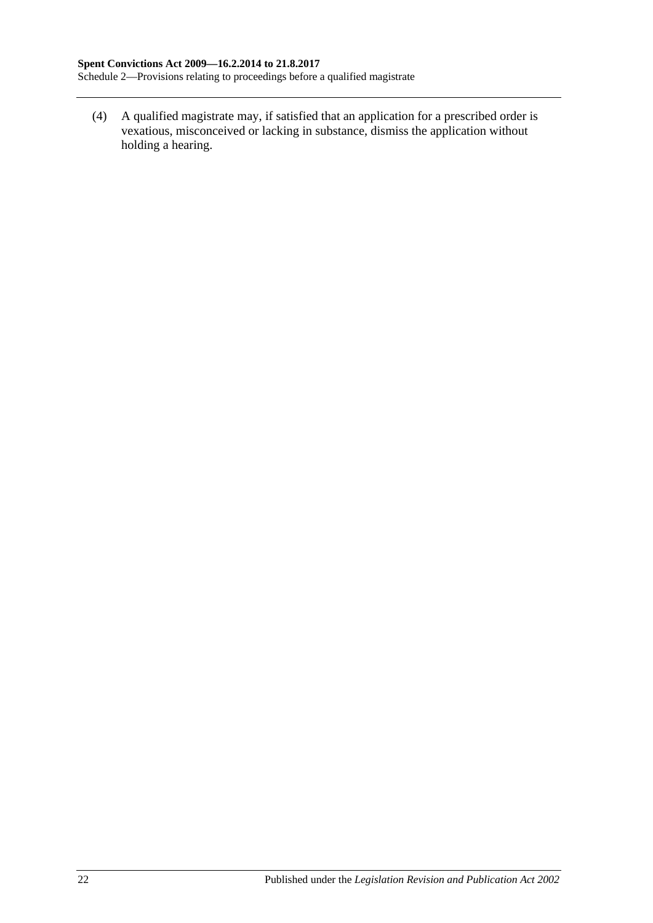Schedule 2—Provisions relating to proceedings before a qualified magistrate

(4) A qualified magistrate may, if satisfied that an application for a prescribed order is vexatious, misconceived or lacking in substance, dismiss the application without holding a hearing.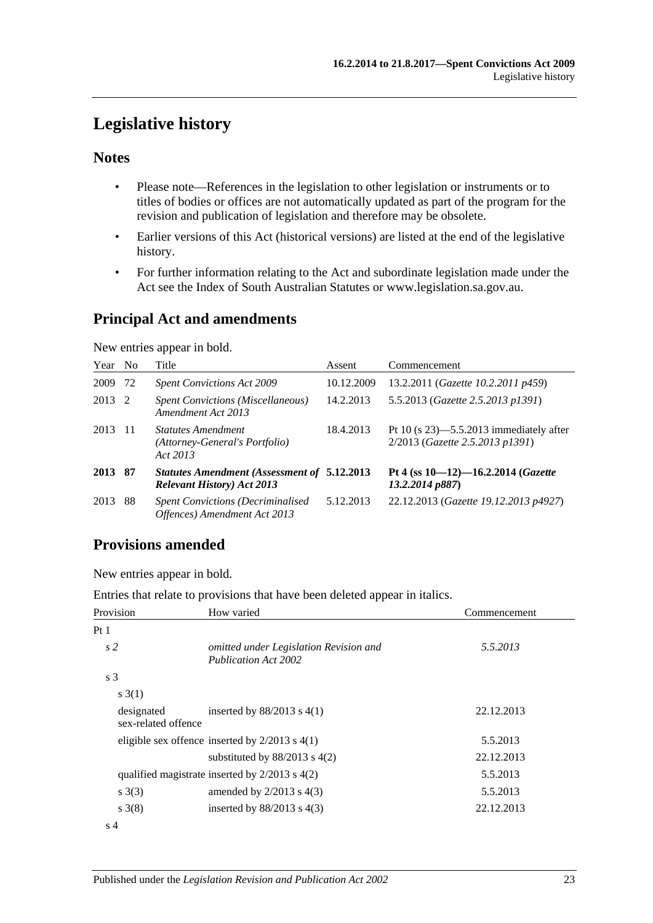## <span id="page-22-0"></span>**Legislative history**

### **Notes**

- Please note—References in the legislation to other legislation or instruments or to titles of bodies or offices are not automatically updated as part of the program for the revision and publication of legislation and therefore may be obsolete.
- Earlier versions of this Act (historical versions) are listed at the end of the legislative history.
- For further information relating to the Act and subordinate legislation made under the Act see the Index of South Australian Statutes or www.legislation.sa.gov.au.

### **Principal Act and amendments**

New entries appear in bold.

| Year No |     | Title                                                                                    | Assent     | Commencement                                                                     |
|---------|-----|------------------------------------------------------------------------------------------|------------|----------------------------------------------------------------------------------|
| 2009    | 72  | <b>Spent Convictions Act 2009</b>                                                        | 10.12.2009 | 13.2.2011 (Gazette 10.2.2011 p459)                                               |
| 2013 2  |     | <b>Spent Convictions (Miscellaneous)</b><br>Amendment Act 2013                           | 14.2.2013  | 5.5.2013 (Gazette 2.5.2013 p1391)                                                |
| 2013    | -11 | <i>Statutes Amendment</i><br>(Attorney-General's Portfolio)<br>Act 2013                  | 18.4.2013  | Pt 10 (s $23$ ) $-5.5.2013$ immediately after<br>2/2013 (Gazette 2.5.2013 p1391) |
| 2013 87 |     | <b>Statutes Amendment (Assessment of 5.12.2013)</b><br><b>Relevant History)</b> Act 2013 |            | Pt 4 (ss $10-12$ )-16.2.2014 (Gazette<br>$13.2.2014\,\mu887$                     |
| 2013    | 88  | <b>Spent Convictions (Decriminalised)</b><br>Offences) Amendment Act 2013                | 5.12.2013  | 22.12.2013 (Gazette 19.12.2013 p4927)                                            |

## **Provisions amended**

New entries appear in bold.

Entries that relate to provisions that have been deleted appear in italics.

| Provision                         | How varied                                                     | Commencement |
|-----------------------------------|----------------------------------------------------------------|--------------|
| Pt <sub>1</sub>                   |                                                                |              |
| s <sub>2</sub>                    | omitted under Legislation Revision and<br>Publication Act 2002 | 5.5.2013     |
| s <sub>3</sub>                    |                                                                |              |
| s(3(1))                           |                                                                |              |
| designated<br>sex-related offence | inserted by $88/2013$ s $4(1)$                                 | 22.12.2013   |
|                                   | eligible sex offence inserted by $2/2013$ s $4(1)$             | 5.5.2013     |
|                                   | substituted by $88/2013$ s 4(2)                                | 22.12.2013   |
|                                   | qualified magistrate inserted by $2/2013$ s $4(2)$             | 5.5.2013     |
| s(3)                              | amended by $2/2013$ s $4(3)$                                   | 5.5.2013     |
| $s \; 3(8)$                       | inserted by $88/2013$ s $4(3)$                                 | 22.12.2013   |
| s 4                               |                                                                |              |